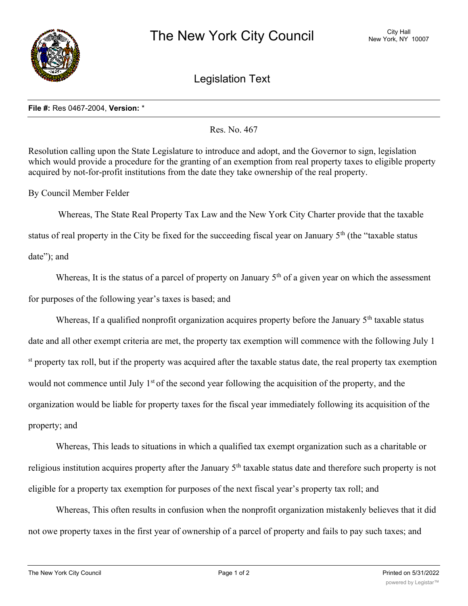

Legislation Text

## **File #:** Res 0467-2004, **Version:** \*

Res. No. 467

Resolution calling upon the State Legislature to introduce and adopt, and the Governor to sign, legislation which would provide a procedure for the granting of an exemption from real property taxes to eligible property acquired by not-for-profit institutions from the date they take ownership of the real property.

By Council Member Felder

 Whereas, The State Real Property Tax Law and the New York City Charter provide that the taxable status of real property in the City be fixed for the succeeding fiscal year on January 5<sup>th</sup> (the "taxable status date"); and

Whereas, It is the status of a parcel of property on January  $5<sup>th</sup>$  of a given year on which the assessment for purposes of the following year's taxes is based; and

Whereas, If a qualified nonprofit organization acquires property before the January  $5<sup>th</sup>$  taxable status date and all other exempt criteria are met, the property tax exemption will commence with the following July 1 st property tax roll, but if the property was acquired after the taxable status date, the real property tax exemption would not commence until July 1<sup>st</sup> of the second year following the acquisition of the property, and the organization would be liable for property taxes for the fiscal year immediately following its acquisition of the property; and

Whereas, This leads to situations in which a qualified tax exempt organization such as a charitable or religious institution acquires property after the January  $5<sup>th</sup>$  taxable status date and therefore such property is not eligible for a property tax exemption for purposes of the next fiscal year's property tax roll; and

Whereas, This often results in confusion when the nonprofit organization mistakenly believes that it did not owe property taxes in the first year of ownership of a parcel of property and fails to pay such taxes; and